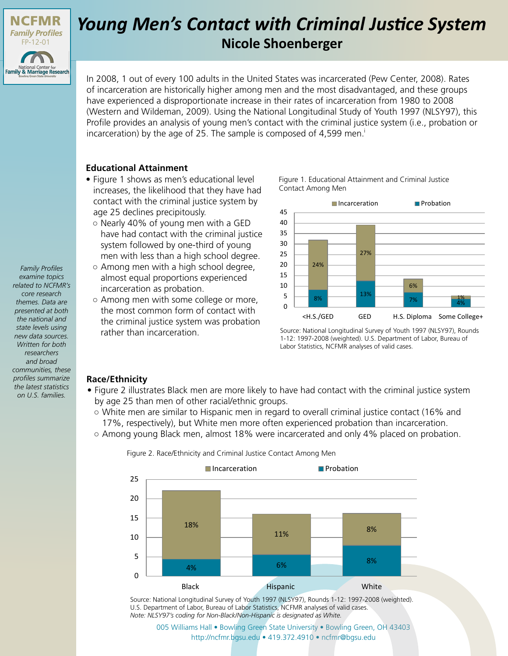

# *Young Men's Contact with Criminal Justice System* **Nicole Shoenberger**

In 2008, 1 out of every 100 adults in the United States was incarcerated (Pew Center, 2008). Rates of incarceration are historically higher among men and the most disadvantaged, and these groups have experienced a disproportionate increase in their rates of incarceration from 1980 to 2008 (Western and Wildeman, 2009). Using the National Longitudinal Study of Youth 1997 (NLSY97), this Profile provides an analysis of young men's contact with the criminal justice system (i.e., probation or incarceration) by the age of 25. The sample is composed of 4,599 men.<sup>i</sup>

### **Educational Attainment**

- Figure 1 shows as men's educational level increases, the likelihood that they have had contact with the criminal justice system by age 25 declines precipitously.
	- Nearly 40% of young men with a GED have had contact with the criminal justice system followed by one-third of young men with less than a high school degree.
	- Among men with a high school degree, almost equal proportions experienced incarceration as probation.
	- Among men with some college or more, the most common form of contact with the criminal justice system was probation rather than incarceration.

Figure 1. Educational Attainment and Criminal Justice Contact Among Men



Source: National Longitudinal Survey of Youth 1997 (NLSY97), Rounds 1-12: 1997-2008 (weighted). U.S. Department of Labor, Bureau of Labor Statistics, NCFMR analyses of valid cases.

#### **Race/Ethnicity**

- Figure 2 illustrates Black men are more likely to have had contact with the criminal justice system by age 25 than men of other racial/ethnic groups.
	- White men are similar to Hispanic men in regard to overall criminal justice contact (16% and 17%, respectively), but White men more often experienced probation than incarceration.
	- Among young Black men, almost 18% were incarcerated and only 4% placed on probation.



Figure 2. Race/Ethnicity and Criminal Justice Contact Among Men

Source: National Longitudinal Survey of Youth 1997 (NLSY97), Rounds 1-12: 1997-2008 (weighted). U.S. Department of Labor, Bureau of Labor Statistics, NCFMR analyses of valid cases. *Note: NLSY97's coding for Non-Black/Non-Hispanic is designated as White.*

[005 Williams Hall • Bowling Green State University • Bowling Green, OH 43403](http://ncfmr.bgsu.edu) http://ncfmr.bgsu.edu • 419.372.4910 • ncfmr@bgsu.edu

*examine topics related to NCFMR's core research themes. Data are presented at both the national and state levels using new data sources. Written for both researchers and broad communities, these profiles summarize the latest statistics on U.S. families.*

*Family Profiles*